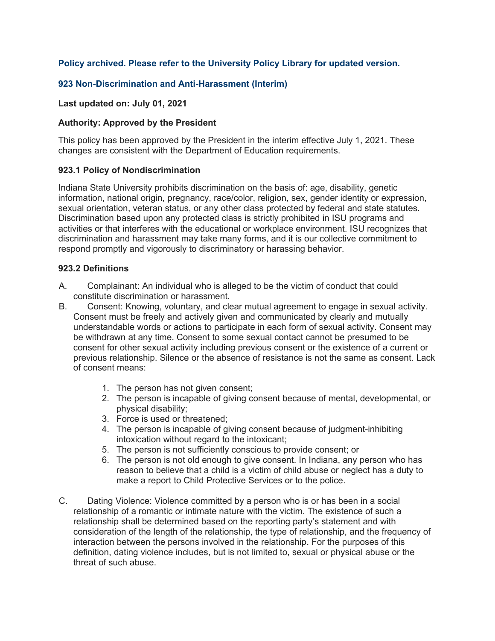# **Policy archived. Please refer to the University Policy Library for updated version.**

## **923 Non-Discrimination and Anti-Harassment (Interim)**

### **Last updated on: July 01, 2021**

### **Authority: Approved by the President**

This policy has been approved by the President in the interim effective July 1, 2021. These changes are consistent with the Department of Education requirements.

### **923.1 Policy of Nondiscrimination**

Indiana State University prohibits discrimination on the basis of: age, disability, genetic information, national origin, pregnancy, race/color, religion, sex, gender identity or expression, sexual orientation, veteran status, or any other class protected by federal and state statutes. Discrimination based upon any protected class is strictly prohibited in ISU programs and activities or that interferes with the educational or workplace environment. ISU recognizes that discrimination and harassment may take many forms, and it is our collective commitment to respond promptly and vigorously to discriminatory or harassing behavior.

### **923.2 Definitions**

- A. Complainant: An individual who is alleged to be the victim of conduct that could constitute discrimination or harassment.
- B. Consent: Knowing, voluntary, and clear mutual agreement to engage in sexual activity. Consent must be freely and actively given and communicated by clearly and mutually understandable words or actions to participate in each form of sexual activity. Consent may be withdrawn at any time. Consent to some sexual contact cannot be presumed to be consent for other sexual activity including previous consent or the existence of a current or previous relationship. Silence or the absence of resistance is not the same as consent. Lack of consent means:
	- 1. The person has not given consent;
	- 2. The person is incapable of giving consent because of mental, developmental, or physical disability;
	- 3. Force is used or threatened;
	- 4. The person is incapable of giving consent because of judgment-inhibiting intoxication without regard to the intoxicant;
	- 5. The person is not sufficiently conscious to provide consent; or
	- 6. The person is not old enough to give consent. In Indiana, any person who has reason to believe that a child is a victim of child abuse or neglect has a duty to make a report to Child Protective Services or to the police.
- C. Dating Violence: Violence committed by a person who is or has been in a social relationship of a romantic or intimate nature with the victim. The existence of such a relationship shall be determined based on the reporting party's statement and with consideration of the length of the relationship, the type of relationship, and the frequency of interaction between the persons involved in the relationship. For the purposes of this definition, dating violence includes, but is not limited to, sexual or physical abuse or the threat of such abuse.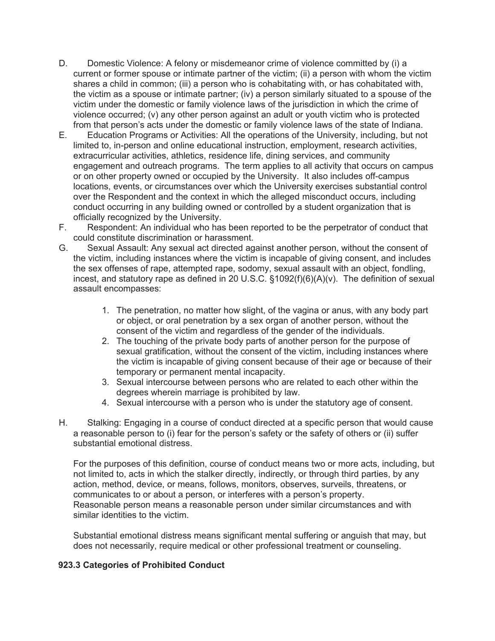- D. Domestic Violence: A felony or misdemeanor crime of violence committed by (i) a current or former spouse or intimate partner of the victim; (ii) a person with whom the victim shares a child in common; (iii) a person who is cohabitating with, or has cohabitated with, the victim as a spouse or intimate partner; (iv) a person similarly situated to a spouse of the victim under the domestic or family violence laws of the jurisdiction in which the crime of violence occurred; (v) any other person against an adult or youth victim who is protected from that person's acts under the domestic or family violence laws of the state of Indiana.
- E. Education Programs or Activities: All the operations of the University, including, but not limited to, in-person and online educational instruction, employment, research activities, extracurricular activities, athletics, residence life, dining services, and community engagement and outreach programs. The term applies to all activity that occurs on campus or on other property owned or occupied by the University. It also includes off-campus locations, events, or circumstances over which the University exercises substantial control over the Respondent and the context in which the alleged misconduct occurs, including conduct occurring in any building owned or controlled by a student organization that is officially recognized by the University.
- F. Respondent: An individual who has been reported to be the perpetrator of conduct that could constitute discrimination or harassment.
- G. Sexual Assault: Any sexual act directed against another person, without the consent of the victim, including instances where the victim is incapable of giving consent, and includes the sex offenses of rape, attempted rape, sodomy, sexual assault with an object, fondling, incest, and statutory rape as defined in 20 U.S.C. §1092(f)(6)(A)(v). The definition of sexual assault encompasses:
	- 1. The penetration, no matter how slight, of the vagina or anus, with any body part or object, or oral penetration by a sex organ of another person, without the consent of the victim and regardless of the gender of the individuals.
	- 2. The touching of the private body parts of another person for the purpose of sexual gratification, without the consent of the victim, including instances where the victim is incapable of giving consent because of their age or because of their temporary or permanent mental incapacity.
	- 3. Sexual intercourse between persons who are related to each other within the degrees wherein marriage is prohibited by law.
	- 4. Sexual intercourse with a person who is under the statutory age of consent.
- H. Stalking: Engaging in a course of conduct directed at a specific person that would cause a reasonable person to (i) fear for the person's safety or the safety of others or (ii) suffer substantial emotional distress.

For the purposes of this definition, course of conduct means two or more acts, including, but not limited to, acts in which the stalker directly, indirectly, or through third parties, by any action, method, device, or means, follows, monitors, observes, surveils, threatens, or communicates to or about a person, or interferes with a person's property. Reasonable person means a reasonable person under similar circumstances and with similar identities to the victim.

Substantial emotional distress means significant mental suffering or anguish that may, but does not necessarily, require medical or other professional treatment or counseling.

## **923.3 Categories of Prohibited Conduct**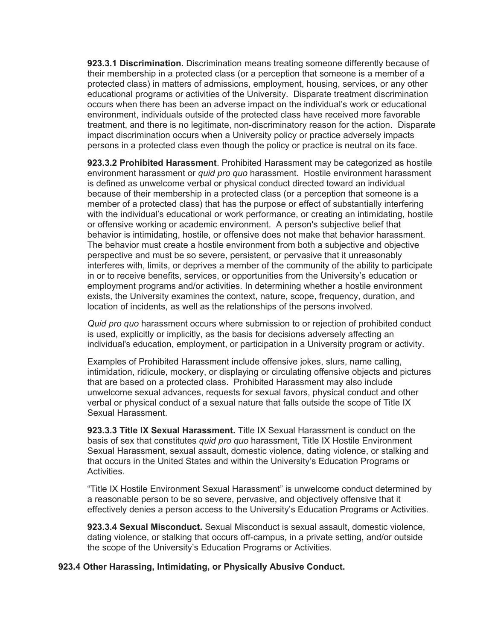**923.3.1 Discrimination.** Discrimination means treating someone differently because of their membership in a protected class (or a perception that someone is a member of a protected class) in matters of admissions, employment, housing, services, or any other educational programs or activities of the University. Disparate treatment discrimination occurs when there has been an adverse impact on the individual's work or educational environment, individuals outside of the protected class have received more favorable treatment, and there is no legitimate, non-discriminatory reason for the action. Disparate impact discrimination occurs when a University policy or practice adversely impacts persons in a protected class even though the policy or practice is neutral on its face.

**923.3.2 Prohibited Harassment**. Prohibited Harassment may be categorized as hostile environment harassment or *quid pro quo* harassment. Hostile environment harassment is defined as unwelcome verbal or physical conduct directed toward an individual because of their membership in a protected class (or a perception that someone is a member of a protected class) that has the purpose or effect of substantially interfering with the individual's educational or work performance, or creating an intimidating, hostile or offensive working or academic environment. A person's subjective belief that behavior is intimidating, hostile, or offensive does not make that behavior harassment. The behavior must create a hostile environment from both a subjective and objective perspective and must be so severe, persistent, or pervasive that it unreasonably interferes with, limits, or deprives a member of the community of the ability to participate in or to receive benefits, services, or opportunities from the University's education or employment programs and/or activities. In determining whether a hostile environment exists, the University examines the context, nature, scope, frequency, duration, and location of incidents, as well as the relationships of the persons involved.

*Quid pro quo* harassment occurs where submission to or rejection of prohibited conduct is used, explicitly or implicitly, as the basis for decisions adversely affecting an individual's education, employment, or participation in a University program or activity.

Examples of Prohibited Harassment include offensive jokes, slurs, name calling, intimidation, ridicule, mockery, or displaying or circulating offensive objects and pictures that are based on a protected class. Prohibited Harassment may also include unwelcome sexual advances, requests for sexual favors, physical conduct and other verbal or physical conduct of a sexual nature that falls outside the scope of Title IX Sexual Harassment.

**923.3.3 Title IX Sexual Harassment.** Title IX Sexual Harassment is conduct on the basis of sex that constitutes *quid pro quo* harassment, Title IX Hostile Environment Sexual Harassment, sexual assault, domestic violence, dating violence, or stalking and that occurs in the United States and within the University's Education Programs or Activities.

"Title IX Hostile Environment Sexual Harassment" is unwelcome conduct determined by a reasonable person to be so severe, pervasive, and objectively offensive that it effectively denies a person access to the University's Education Programs or Activities.

**923.3.4 Sexual Misconduct.** Sexual Misconduct is sexual assault, domestic violence, dating violence, or stalking that occurs off-campus, in a private setting, and/or outside the scope of the University's Education Programs or Activities.

#### **923.4 Other Harassing, Intimidating, or Physically Abusive Conduct.**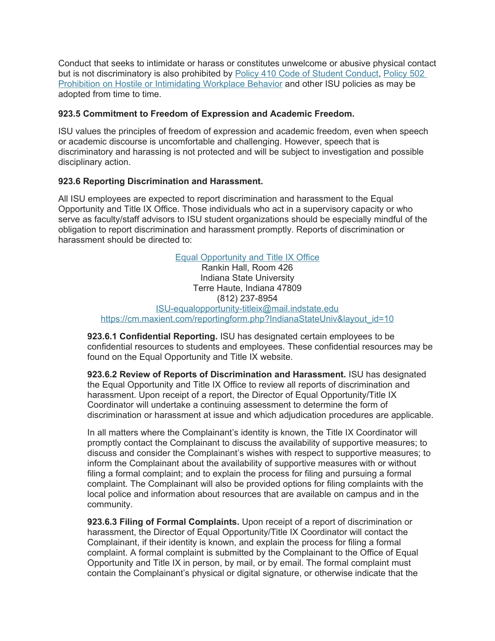Conduct that seeks to intimidate or harass or constitutes unwelcome or abusive physical contact but is not discriminatory is also prohibited by [Policy 410 Code of Student Conduct](https://www.indstate.edu/policy-library/code-student-conduct), [Policy 502](https://www.indstate.edu/policy-library/prohibition-hostile-or-intimidating-workplace-behavior)  [Prohibition on Hostile or Intimidating Workplace Behavior](https://www.indstate.edu/policy-library/prohibition-hostile-or-intimidating-workplace-behavior) and other ISU policies as may be adopted from time to time.

## **923.5 Commitment to Freedom of Expression and Academic Freedom.**

ISU values the principles of freedom of expression and academic freedom, even when speech or academic discourse is uncomfortable and challenging. However, speech that is discriminatory and harassing is not protected and will be subject to investigation and possible disciplinary action.

# **923.6 Reporting Discrimination and Harassment.**

All ISU employees are expected to report discrimination and harassment to the Equal Opportunity and Title IX Office. Those individuals who act in a supervisory capacity or who serve as faculty/staff advisors to ISU student organizations should be especially mindful of the obligation to report discrimination and harassment promptly. Reports of discrimination or harassment should be directed to:

> [Equal Opportunity and Title IX Office](http://www.indstate.edu/equalopportunity-titleix) Rankin Hall, Room 426 Indiana State University Terre Haute, Indiana 47809 (812) 237-8954 [ISU-equalopportunity-titleix@mail.indstate.edu](mailto:ISU-equalopportunity-titleix@mail.indstate.edu) [https://cm.maxient.com/reportingform.php?IndianaStateUniv&layout\\_id=10](https://cm.maxient.com/reportingform.php?IndianaStateUniv&layout_id=10)

**923.6.1 Confidential Reporting.** ISU has designated certain employees to be confidential resources to students and employees. These confidential resources may be found on the Equal Opportunity and Title IX website.

**923.6.2 Review of Reports of Discrimination and Harassment.** ISU has designated the Equal Opportunity and Title IX Office to review all reports of discrimination and harassment. Upon receipt of a report, the Director of Equal Opportunity/Title IX Coordinator will undertake a continuing assessment to determine the form of discrimination or harassment at issue and which adjudication procedures are applicable.

In all matters where the Complainant's identity is known, the Title IX Coordinator will promptly contact the Complainant to discuss the availability of supportive measures; to discuss and consider the Complainant's wishes with respect to supportive measures; to inform the Complainant about the availability of supportive measures with or without filing a formal complaint; and to explain the process for filing and pursuing a formal complaint. The Complainant will also be provided options for filing complaints with the local police and information about resources that are available on campus and in the community.

**923.6.3 Filing of Formal Complaints.** Upon receipt of a report of discrimination or harassment, the Director of Equal Opportunity/Title IX Coordinator will contact the Complainant, if their identity is known, and explain the process for filing a formal complaint. A formal complaint is submitted by the Complainant to the Office of Equal Opportunity and Title IX in person, by mail, or by email. The formal complaint must contain the Complainant's physical or digital signature, or otherwise indicate that the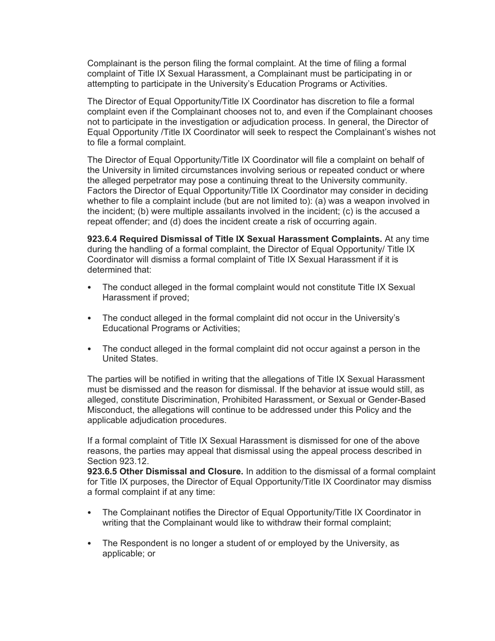Complainant is the person filing the formal complaint. At the time of filing a formal complaint of Title IX Sexual Harassment, a Complainant must be participating in or attempting to participate in the University's Education Programs or Activities.

The Director of Equal Opportunity/Title IX Coordinator has discretion to file a formal complaint even if the Complainant chooses not to, and even if the Complainant chooses not to participate in the investigation or adjudication process. In general, the Director of Equal Opportunity /Title IX Coordinator will seek to respect the Complainant's wishes not to file a formal complaint.

The Director of Equal Opportunity/Title IX Coordinator will file a complaint on behalf of the University in limited circumstances involving serious or repeated conduct or where the alleged perpetrator may pose a continuing threat to the University community. Factors the Director of Equal Opportunity/Title IX Coordinator may consider in deciding whether to file a complaint include (but are not limited to): (a) was a weapon involved in the incident; (b) were multiple assailants involved in the incident; (c) is the accused a repeat offender; and (d) does the incident create a risk of occurring again.

**923.6.4 Required Dismissal of Title IX Sexual Harassment Complaints.** At any time during the handling of a formal complaint, the Director of Equal Opportunity/ Title IX Coordinator will dismiss a formal complaint of Title IX Sexual Harassment if it is determined that:

- The conduct alleged in the formal complaint would not constitute Title IX Sexual Harassment if proved;
- The conduct alleged in the formal complaint did not occur in the University's Educational Programs or Activities;
- The conduct alleged in the formal complaint did not occur against a person in the United States.

The parties will be notified in writing that the allegations of Title IX Sexual Harassment must be dismissed and the reason for dismissal. If the behavior at issue would still, as alleged, constitute Discrimination, Prohibited Harassment, or Sexual or Gender-Based Misconduct, the allegations will continue to be addressed under this Policy and the applicable adjudication procedures.

If a formal complaint of Title IX Sexual Harassment is dismissed for one of the above reasons, the parties may appeal that dismissal using the appeal process described in Section 923.12.

**923.6.5 Other Dismissal and Closure.** In addition to the dismissal of a formal complaint for Title IX purposes, the Director of Equal Opportunity/Title IX Coordinator may dismiss a formal complaint if at any time:

- The Complainant notifies the Director of Equal Opportunity/Title IX Coordinator in writing that the Complainant would like to withdraw their formal complaint;
- The Respondent is no longer a student of or employed by the University, as applicable; or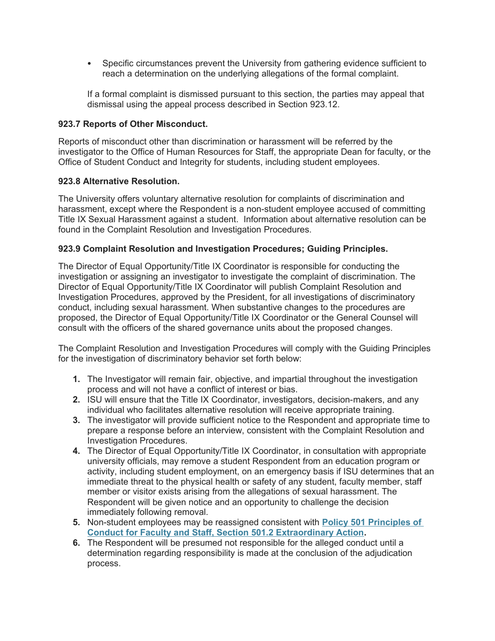Specific circumstances prevent the University from gathering evidence sufficient to reach a determination on the underlying allegations of the formal complaint.

If a formal complaint is dismissed pursuant to this section, the parties may appeal that dismissal using the appeal process described in Section 923.12.

### **923.7 Reports of Other Misconduct.**

Reports of misconduct other than discrimination or harassment will be referred by the investigator to the Office of Human Resources for Staff, the appropriate Dean for faculty, or the Office of Student Conduct and Integrity for students, including student employees.

### **923.8 Alternative Resolution.**

The University offers voluntary alternative resolution for complaints of discrimination and harassment, except where the Respondent is a non-student employee accused of committing Title IX Sexual Harassment against a student. Information about alternative resolution can be found in the Complaint Resolution and Investigation Procedures.

### **923.9 Complaint Resolution and Investigation Procedures; Guiding Principles.**

The Director of Equal Opportunity/Title IX Coordinator is responsible for conducting the investigation or assigning an investigator to investigate the complaint of discrimination. The Director of Equal Opportunity/Title IX Coordinator will publish Complaint Resolution and Investigation Procedures, approved by the President, for all investigations of discriminatory conduct, including sexual harassment. When substantive changes to the procedures are proposed, the Director of Equal Opportunity/Title IX Coordinator or the General Counsel will consult with the officers of the shared governance units about the proposed changes.

The Complaint Resolution and Investigation Procedures will comply with the Guiding Principles for the investigation of discriminatory behavior set forth below:

- **1.** The Investigator will remain fair, objective, and impartial throughout the investigation process and will not have a conflict of interest or bias.
- **2.** ISU will ensure that the Title IX Coordinator, investigators, decision-makers, and any individual who facilitates alternative resolution will receive appropriate training.
- **3.** The investigator will provide sufficient notice to the Respondent and appropriate time to prepare a response before an interview, consistent with the Complaint Resolution and Investigation Procedures.
- **4.** The Director of Equal Opportunity/Title IX Coordinator, in consultation with appropriate university officials, may remove a student Respondent from an education program or activity, including student employment, on an emergency basis if ISU determines that an immediate threat to the physical health or safety of any student, faculty member, staff member or visitor exists arising from the allegations of sexual harassment. The Respondent will be given notice and an opportunity to challenge the decision immediately following removal.
- **5.** Non-student employees may be reassigned consistent with **[Policy 501 Principles of](https://www.indstate.edu/policy-library/faculty-and-staff-principles-conduct)  [Conduct for Faculty and Staff, Section 501.2 Extraordinary Action](https://www.indstate.edu/policy-library/faculty-and-staff-principles-conduct).**
- **6.** The Respondent will be presumed not responsible for the alleged conduct until a determination regarding responsibility is made at the conclusion of the adjudication process.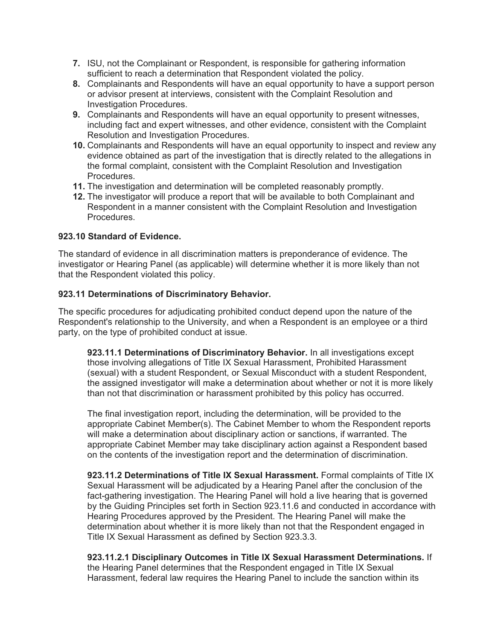- **7.** ISU, not the Complainant or Respondent, is responsible for gathering information sufficient to reach a determination that Respondent violated the policy.
- **8.** Complainants and Respondents will have an equal opportunity to have a support person or advisor present at interviews, consistent with the Complaint Resolution and Investigation Procedures.
- **9.** Complainants and Respondents will have an equal opportunity to present witnesses, including fact and expert witnesses, and other evidence, consistent with the Complaint Resolution and Investigation Procedures.
- **10.** Complainants and Respondents will have an equal opportunity to inspect and review any evidence obtained as part of the investigation that is directly related to the allegations in the formal complaint, consistent with the Complaint Resolution and Investigation **Procedures**
- **11.** The investigation and determination will be completed reasonably promptly.
- **12.** The investigator will produce a report that will be available to both Complainant and Respondent in a manner consistent with the Complaint Resolution and Investigation Procedures.

## **923.10 Standard of Evidence.**

The standard of evidence in all discrimination matters is preponderance of evidence. The investigator or Hearing Panel (as applicable) will determine whether it is more likely than not that the Respondent violated this policy.

## **923.11 Determinations of Discriminatory Behavior.**

The specific procedures for adjudicating prohibited conduct depend upon the nature of the Respondent's relationship to the University, and when a Respondent is an employee or a third party, on the type of prohibited conduct at issue.

**923.11.1 Determinations of Discriminatory Behavior.** In all investigations except those involving allegations of Title IX Sexual Harassment, Prohibited Harassment (sexual) with a student Respondent, or Sexual Misconduct with a student Respondent, the assigned investigator will make a determination about whether or not it is more likely than not that discrimination or harassment prohibited by this policy has occurred.

The final investigation report, including the determination, will be provided to the appropriate Cabinet Member(s). The Cabinet Member to whom the Respondent reports will make a determination about disciplinary action or sanctions, if warranted. The appropriate Cabinet Member may take disciplinary action against a Respondent based on the contents of the investigation report and the determination of discrimination.

**923.11.2 Determinations of Title IX Sexual Harassment.** Formal complaints of Title IX Sexual Harassment will be adjudicated by a Hearing Panel after the conclusion of the fact-gathering investigation. The Hearing Panel will hold a live hearing that is governed by the Guiding Principles set forth in Section 923.11.6 and conducted in accordance with Hearing Procedures approved by the President. The Hearing Panel will make the determination about whether it is more likely than not that the Respondent engaged in Title IX Sexual Harassment as defined by Section 923.3.3.

## **923.11.2.1 Disciplinary Outcomes in Title IX Sexual Harassment Determinations.** If

the Hearing Panel determines that the Respondent engaged in Title IX Sexual Harassment, federal law requires the Hearing Panel to include the sanction within its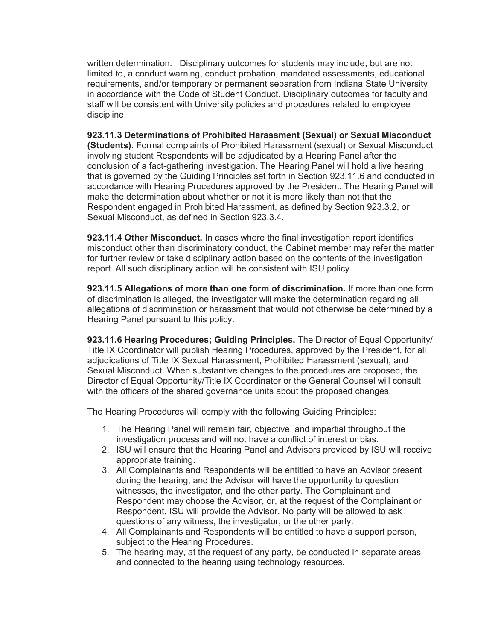written determination. Disciplinary outcomes for students may include, but are not limited to, a conduct warning, conduct probation, mandated assessments, educational requirements, and/or temporary or permanent separation from Indiana State University in accordance with the Code of Student Conduct. Disciplinary outcomes for faculty and staff will be consistent with University policies and procedures related to employee discipline.

**923.11.3 Determinations of Prohibited Harassment (Sexual) or Sexual Misconduct (Students).** Formal complaints of Prohibited Harassment (sexual) or Sexual Misconduct involving student Respondents will be adjudicated by a Hearing Panel after the conclusion of a fact-gathering investigation. The Hearing Panel will hold a live hearing that is governed by the Guiding Principles set forth in Section 923.11.6 and conducted in accordance with Hearing Procedures approved by the President. The Hearing Panel will make the determination about whether or not it is more likely than not that the Respondent engaged in Prohibited Harassment, as defined by Section 923.3.2, or Sexual Misconduct, as defined in Section 923.3.4.

**923.11.4 Other Misconduct.** In cases where the final investigation report identifies misconduct other than discriminatory conduct, the Cabinet member may refer the matter for further review or take disciplinary action based on the contents of the investigation report. All such disciplinary action will be consistent with ISU policy.

**923.11.5 Allegations of more than one form of discrimination.** If more than one form of discrimination is alleged, the investigator will make the determination regarding all allegations of discrimination or harassment that would not otherwise be determined by a Hearing Panel pursuant to this policy.

**923.11.6 Hearing Procedures; Guiding Principles.** The Director of Equal Opportunity/ Title IX Coordinator will publish Hearing Procedures, approved by the President, for all adjudications of Title IX Sexual Harassment, Prohibited Harassment (sexual), and Sexual Misconduct. When substantive changes to the procedures are proposed, the Director of Equal Opportunity/Title IX Coordinator or the General Counsel will consult with the officers of the shared governance units about the proposed changes.

The Hearing Procedures will comply with the following Guiding Principles:

- 1. The Hearing Panel will remain fair, objective, and impartial throughout the investigation process and will not have a conflict of interest or bias.
- 2. ISU will ensure that the Hearing Panel and Advisors provided by ISU will receive appropriate training.
- 3. All Complainants and Respondents will be entitled to have an Advisor present during the hearing, and the Advisor will have the opportunity to question witnesses, the investigator, and the other party. The Complainant and Respondent may choose the Advisor, or, at the request of the Complainant or Respondent, ISU will provide the Advisor. No party will be allowed to ask questions of any witness, the investigator, or the other party.
- 4. All Complainants and Respondents will be entitled to have a support person, subject to the Hearing Procedures.
- 5. The hearing may, at the request of any party, be conducted in separate areas, and connected to the hearing using technology resources.